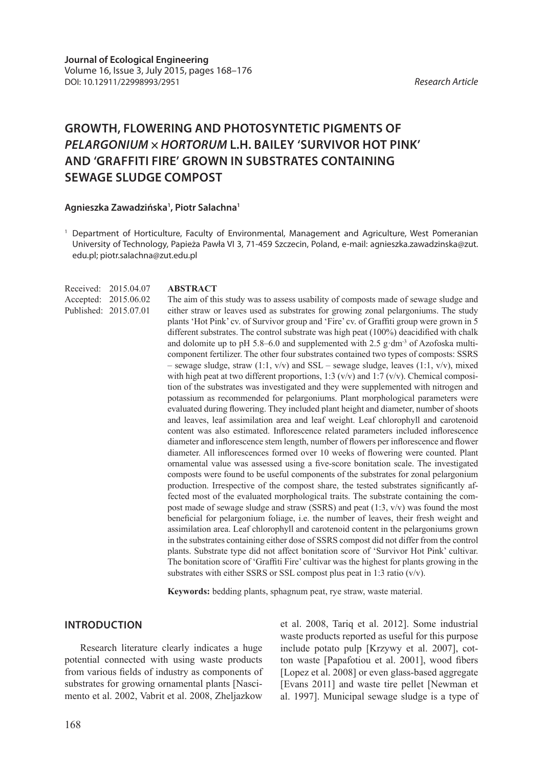# **GROWTH, FLOWERING AND PHOTOSYNTETIC PIGMENTS OF**  *PELARGONIUM × HORTORUM* **L.H. BAILEY 'SURVIVOR HOT PINK' AND 'GRAFFITI FIRE' GROWN IN SUBSTRATES CONTAINING SEWAGE SLUDGE COMPOST**

#### **Agnieszka Zawadzińska1 , Piotr Salachna1**

<sup>1</sup> Department of Horticulture, Faculty of Environmental, Management and Agriculture, West Pomeranian University of Technology, Papieża Pawła VI 3, 71-459 Szczecin, Poland, e-mail: agnieszka.zawadzinska@zut. edu.pl; piotr.salachna@zut.edu.pl

| Received: 2015.04.07  |
|-----------------------|
| Accepted: 2015.06.02  |
| Published: 2015.07.01 |

#### **ABSTRACT**

The aim of this study was to assess usability of composts made of sewage sludge and either straw or leaves used as substrates for growing zonal pelargoniums. The study plants 'Hot Pink' cv. of Survivor group and 'Fire' cv. of Graffiti group were grown in 5 different substrates. The control substrate was high peat (100%) deacidified with chalk and dolomite up to pH 5.8–6.0 and supplemented with 2.5 g·dm<sup>-3</sup> of Azofoska multicomponent fertilizer. The other four substrates contained two types of composts: SSRS – sewage sludge, straw (1:1,  $v/v$ ) and SSL – sewage sludge, leaves (1:1,  $v/v$ ), mixed with high peat at two different proportions, 1:3 ( $v/v$ ) and 1:7 ( $v/v$ ). Chemical composition of the substrates was investigated and they were supplemented with nitrogen and potassium as recommended for pelargoniums. Plant morphological parameters were evaluated during flowering. They included plant height and diameter, number of shoots and leaves, leaf assimilation area and leaf weight. Leaf chlorophyll and carotenoid content was also estimated. Inflorescence related parameters included inflorescence diameter and inflorescence stem length, number of flowers per inflorescence and flower diameter. All inflorescences formed over 10 weeks of flowering were counted. Plant ornamental value was assessed using a five-score bonitation scale. The investigated composts were found to be useful components of the substrates for zonal pelargonium production. Irrespective of the compost share, the tested substrates significantly affected most of the evaluated morphological traits. The substrate containing the compost made of sewage sludge and straw (SSRS) and peat (1:3, v/v) was found the most beneficial for pelargonium foliage, i.e. the number of leaves, their fresh weight and assimilation area. Leaf chlorophyll and carotenoid content in the pelargoniums grown in the substrates containing either dose of SSRS compost did not differ from the control plants. Substrate type did not affect bonitation score of 'Survivor Hot Pink' cultivar. The bonitation score of 'Graffiti Fire' cultivar was the highest for plants growing in the substrates with either SSRS or SSL compost plus peat in 1:3 ratio (v/v).

**Keywords:** bedding plants, sphagnum peat, rye straw, waste material.

#### **INTRODUCTION**

Research literature clearly indicates a huge potential connected with using waste products from various fields of industry as components of substrates for growing ornamental plants [Nascimento et al. 2002, Vabrit et al. 2008, Zheljazkow et al. 2008, Tariq et al. 2012]. Some industrial waste products reported as useful for this purpose include potato pulp [Krzywy et al. 2007], cotton waste [Papafotiou et al. 2001], wood fibers [Lopez et al. 2008] or even glass-based aggregate [Evans 2011] and waste tire pellet [Newman et al. 1997]. Municipal sewage sludge is a type of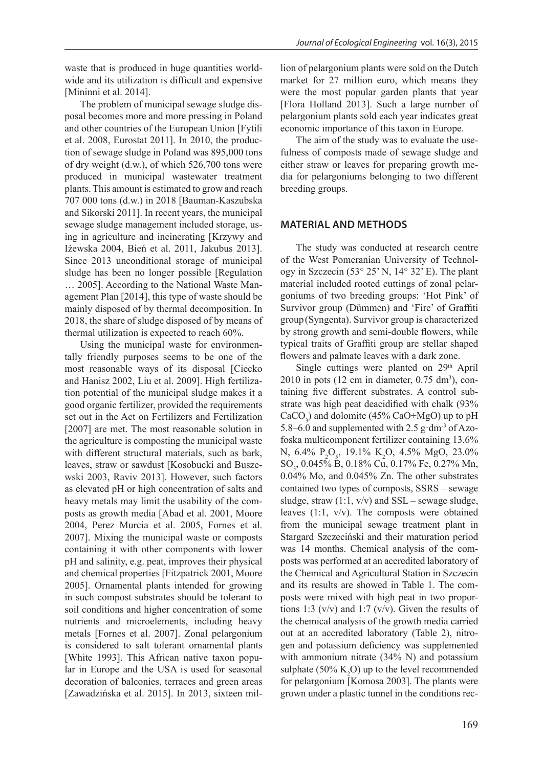waste that is produced in huge quantities worldwide and its utilization is difficult and expensive [Mininni et al. 2014].

The problem of municipal sewage sludge disposal becomes more and more pressing in Poland and other countries of the European Union [Fytili et al. 2008, Eurostat 2011]. In 2010, the production of sewage sludge in Poland was 895,000 tons of dry weight (d.w.), of which 526,700 tons were produced in municipal wastewater treatment plants. This amount is estimated to grow and reach 707 000 tons (d.w.) in 2018 [Bauman-Kaszubska and Sikorski 2011]. In recent years, the municipal sewage sludge management included storage, using in agriculture and incinerating [Krzywy and Iżewska 2004, Bień et al. 2011, Jakubus 2013]. Since 2013 unconditional storage of municipal sludge has been no longer possible [Regulation … 2005]. According to the National Waste Management Plan [2014], this type of waste should be mainly disposed of by thermal decomposition. In 2018, the share of sludge disposed of by means of thermal utilization is expected to reach 60%.

Using the municipal waste for environmentally friendly purposes seems to be one of the most reasonable ways of its disposal [Ciecko and Hanisz 2002, Liu et al. 2009]. High fertilization potential of the municipal sludge makes it a good organic fertilizer, provided the requirements set out in the Act on Fertilizers and Fertilization [2007] are met. The most reasonable solution in the agriculture is composting the municipal waste with different structural materials, such as bark, leaves, straw or sawdust [Kosobucki and Buszewski 2003, Raviv 2013]. However, such factors as elevated pH or high concentration of salts and heavy metals may limit the usability of the composts as growth media [Abad et al. 2001, Moore 2004, Perez Murcia et al. 2005, Fornes et al. 2007]. Mixing the municipal waste or composts containing it with other components with lower pH and salinity, e.g. peat, improves their physical and chemical properties [Fitzpatrick 2001, Moore 2005]. Ornamental plants intended for growing in such compost substrates should be tolerant to soil conditions and higher concentration of some nutrients and microelements, including heavy metals [Fornes et al. 2007]. Zonal pelargonium is considered to salt tolerant ornamental plants [White 1993]. This African native taxon popular in Europe and the USA is used for seasonal decoration of balconies, terraces and green areas [Zawadzińska et al. 2015]. In 2013, sixteen million of pelargonium plants were sold on the Dutch market for 27 million euro, which means they were the most popular garden plants that year [Flora Holland 2013]. Such a large number of pelargonium plants sold each year indicates great economic importance of this taxon in Europe.

The aim of the study was to evaluate the usefulness of composts made of sewage sludge and either straw or leaves for preparing growth media for pelargoniums belonging to two different breeding groups.

### **MATERIAL AND METHODS**

The study was conducted at research centre of the West Pomeranian University of Technology in Szczecin (53° 25' N, 14° 32' E). The plant material included rooted cuttings of zonal pelargoniums of two breeding groups: 'Hot Pink' of Survivor group (Dümmen) and 'Fire' of Graffiti group(Syngenta). Survivor group is characterized by strong growth and semi-double flowers, while typical traits of Graffiti group are stellar shaped flowers and palmate leaves with a dark zone.

Single cuttings were planted on 29<sup>th</sup> April  $2010$  in pots (12 cm in diameter, 0.75 dm<sup>3</sup>), containing five different substrates. A control substrate was high peat deacidified with chalk (93%  $CaCO<sub>3</sub>$ ) and dolomite (45% CaO+MgO) up to pH 5.8–6.0 and supplemented with 2.5  $\mu$  dm<sup>-3</sup> of Azofoska multicomponent fertilizer containing 13.6% N, 6.4% P<sub>2</sub>O<sub>5</sub>, 19.1% K<sub>2</sub>O, 4.5% MgO, 23.0% SO<sub>3</sub>, 0.045% B, 0.18% Cu, 0.17% Fe, 0.27% Mn, 0.04% Mo, and 0.045% Zn. The other substrates contained two types of composts, SSRS – sewage sludge, straw  $(1:1, v/v)$  and SSL – sewage sludge, leaves (1:1, v/v). The composts were obtained from the municipal sewage treatment plant in Stargard Szczeciński and their maturation period was 14 months. Chemical analysis of the composts was performed at an accredited laboratory of the Chemical and Agricultural Station in Szczecin and its results are showed in Table 1. The composts were mixed with high peat in two proportions 1:3 ( $v/v$ ) and 1:7 ( $v/v$ ). Given the results of the chemical analysis of the growth media carried out at an accredited laboratory (Table 2), nitrogen and potassium deficiency was supplemented with ammonium nitrate (34% N) and potassium sulphate  $(50\% \text{ K}_2\text{O})$  up to the level recommended for pelargonium [Komosa 2003]. The plants were grown under a plastic tunnel in the conditions rec-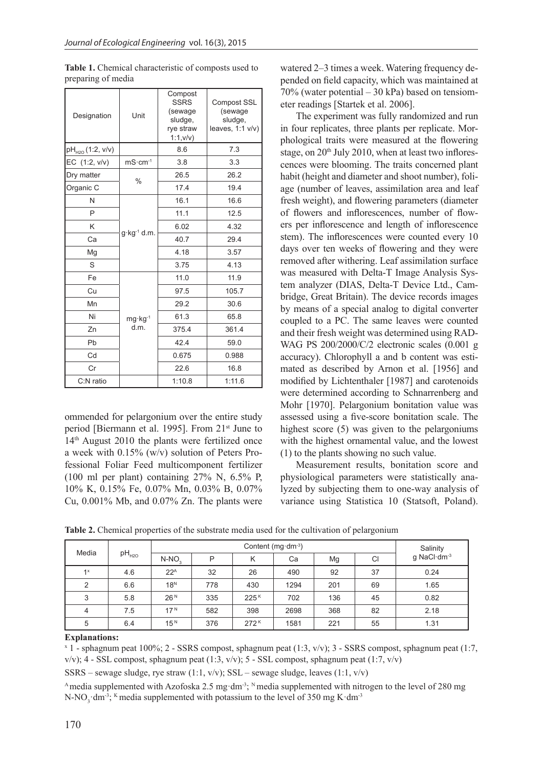| Designation                  | Unit                   | Compost<br><b>SSRS</b><br>(sewage<br>sludge,<br>rye straw<br>1:1,v/v) | <b>Compost SSL</b><br>(sewage<br>sludge,<br>leaves, 1:1 v/v) |
|------------------------------|------------------------|-----------------------------------------------------------------------|--------------------------------------------------------------|
| pH <sub>H20</sub> (1:2, v/v) |                        | 8.6                                                                   | 7.3                                                          |
| EC (1:2, v/v)                | $mS·cm-1$              | 3.8                                                                   | 3.3                                                          |
| Dry matter                   | $\%$                   | 26.5                                                                  | 26.2                                                         |
| Organic C                    |                        | 17.4                                                                  | 19.4                                                         |
| N                            |                        | 16.1                                                                  | 16.6                                                         |
| P                            |                        | 11.1                                                                  | 12.5                                                         |
| Κ                            |                        | 6.02                                                                  | 4.32                                                         |
| Ca                           | $g \cdot kg^{-1}$ d.m. | 40.7                                                                  | 29.4                                                         |
| Mg                           |                        | 4.18                                                                  | 3.57                                                         |
| S                            |                        | 3.75                                                                  | 4.13                                                         |
| Fe                           |                        | 11.0                                                                  | 11.9                                                         |
| Cu                           |                        | 97.5                                                                  | 105.7                                                        |
| Mn                           |                        | 29.2                                                                  | 30.6                                                         |
| Ni                           | $mq \cdot kq^{-1}$     | 61.3                                                                  | 65.8                                                         |
| Zn                           | d.m.                   | 375.4                                                                 | 361.4                                                        |
| Pb                           |                        | 42.4                                                                  | 59.0                                                         |
| Cd                           |                        | 0.675                                                                 | 0.988                                                        |
| Cr                           |                        | 22.6                                                                  | 16.8                                                         |
| C:N ratio                    |                        | 1:10.8                                                                | 1:11.6                                                       |

Table 1. Chemical characteristic of composts used to preparing of media

ommended for pelargonium over the entire study period [Biermann et al. 1995]. From 21st June to 14th August 2010 the plants were fertilized once a week with 0.15% (w/v) solution of Peters Professional Foliar Feed multicomponent fertilizer (100 ml per plant) containing 27% N, 6.5% P, 10% K, 0.15% Fe, 0.07% Mn, 0.03% B, 0.07% Cu, 0.001% Mb, and 0.07% Zn. The plants were

watered 2–3 times a week. Watering frequency depended on field capacity, which was maintained at 70% (water potential – 30 kPa) based on tensiometer readings [Startek et al. 2006].

The experiment was fully randomized and run in four replicates, three plants per replicate. Morphological traits were measured at the flowering stage, on  $20<sup>th</sup>$  July 2010, when at least two inflorescences were blooming. The traits concerned plant habit (height and diameter and shoot number), foliage (number of leaves, assimilation area and leaf fresh weight), and flowering parameters (diameter of flowers and inflorescences, number of flowers per inflorescence and length of inflorescence stem). The inflorescences were counted every 10 days over ten weeks of flowering and they were removed after withering. Leaf assimilation surface was measured with Delta-T Image Analysis System analyzer (DIAS, Delta-T Device Ltd., Cambridge, Great Britain). The device records images by means of a special analog to digital converter coupled to a PC. The same leaves were counted and their fresh weight was determined using RAD-WAG PS 200/2000/C/2 electronic scales (0.001 g accuracy). Chlorophyll a and b content was estimated as described by Arnon et al. [1956] and modified by Lichtenthaler [1987] and carotenoids were determined according to Schnarrenberg and Mohr [1970]. Pelargonium bonitation value was assessed using a five-score bonitation scale. The highest score (5) was given to the pelargoniums with the highest ornamental value, and the lowest (1) to the plants showing no such value.

Measurement results, bonitation score and physiological parameters were statistically analyzed by subjecting them to one-way analysis of variance using Statistica 10 (Statsoft, Poland).

**Table 2.** Chemical properties of the substrate media used for the cultivation of pelargonium

| Media |                                              | Content ( $mq \cdot dm^{-3}$ ) |     |                  |      |             |    | Salinity |
|-------|----------------------------------------------|--------------------------------|-----|------------------|------|-------------|----|----------|
|       | pH <sub>H2O</sub><br>P<br>$N-NO2$<br>Κ<br>Ca |                                |     | Mg               | CI   | q NaCl·dm-3 |    |          |
| $1^x$ | 4.6                                          | 22 <sup>A</sup>                | 32  | 26               | 490  | 92          | 37 | 0.24     |
| 2     | 6.6                                          | 18 <sup>N</sup>                | 778 | 430              | 1294 | 201         | 69 | 1.65     |
| 3     | 5.8                                          | 26 <sup>N</sup>                | 335 | 225 <sup>K</sup> | 702  | 136         | 45 | 0.82     |
| 4     | 7.5                                          | 17 <sup>N</sup>                | 582 | 398              | 2698 | 368         | 82 | 2.18     |
| 5     | 6.4                                          | 15 <sup>N</sup>                | 376 | 272 <sup>K</sup> | 1581 | 221         | 55 | 1.31     |

#### **Explanations:**

x 1 - sphagnum peat 100%; 2 - SSRS compost, sphagnum peat (1:3, v/v); 3 - SSRS compost, sphagnum peat (1:7, v/v); 4 - SSL compost, sphagnum peat (1:3, v/v); 5 - SSL compost, sphagnum peat (1:7, v/v)

SSRS – sewage sludge, rye straw  $(1:1, v/v)$ ; SSL – sewage sludge, leaves  $(1:1, v/v)$ 

Amedia supplemented with Azofoska 2.5 mg·dm<sup>-3</sup>; <sup>N</sup> media supplemented with nitrogen to the level of 280 mg N-NO<sub>3</sub> dm<sup>-3</sup>; <sup>K</sup> media supplemented with potassium to the level of 350 mg K·dm<sup>-3</sup>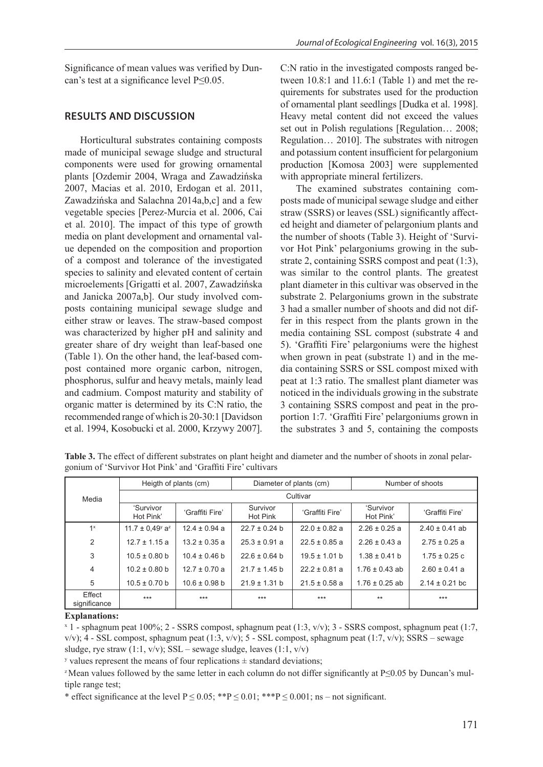Significance of mean values was verified by Duncan's test at a significance level P≤0.05.

## **RESULTS AND DISCUSSION**

Horticultural substrates containing composts made of municipal sewage sludge and structural components were used for growing ornamental plants [Ozdemir 2004, Wraga and Zawadzińska 2007, Macias et al. 2010, Erdogan et al. 2011, Zawadzińska and Salachna 2014a,b,c] and a few vegetable species [Perez-Murcia et al. 2006, Cai et al. 2010]. The impact of this type of growth media on plant development and ornamental value depended on the composition and proportion of a compost and tolerance of the investigated species to salinity and elevated content of certain microelements [Grigatti et al. 2007, Zawadzińska and Janicka 2007a,b]. Our study involved composts containing municipal sewage sludge and either straw or leaves. The straw-based compost was characterized by higher pH and salinity and greater share of dry weight than leaf-based one (Table 1). On the other hand, the leaf-based compost contained more organic carbon, nitrogen, phosphorus, sulfur and heavy metals, mainly lead and cadmium. Compost maturity and stability of organic matter is determined by its C:N ratio, the recommended range of which is 20-30:1 [Davidson et al. 1994, Kosobucki et al. 2000, Krzywy 2007].

C:N ratio in the investigated composts ranged between 10.8:1 and 11.6:1 (Table 1) and met the requirements for substrates used for the production of ornamental plant seedlings [Dudka et al. 1998]. Heavy metal content did not exceed the values set out in Polish regulations [Regulation... 2008; Regulation… 2010]. The substrates with nitrogen and potassium content insufficient for pelargonium production [Komosa 2003] were supplemented with appropriate mineral fertilizers.

The examined substrates containing composts made of municipal sewage sludge and either straw (SSRS) or leaves (SSL) significantly affected height and diameter of pelargonium plants and the number of shoots (Table 3). Height of 'Survivor Hot Pink' pelargoniums growing in the substrate 2, containing SSRS compost and peat (1:3), was similar to the control plants. The greatest plant diameter in this cultivar was observed in the substrate 2. Pelargoniums grown in the substrate 3 had a smaller number of shoots and did not differ in this respect from the plants grown in the media containing SSL compost (substrate 4 and 5). 'Graffiti Fire' pelargoniums were the highest when grown in peat (substrate 1) and in the media containing SSRS or SSL compost mixed with peat at 1:3 ratio. The smallest plant diameter was noticed in the individuals growing in the substrate 3 containing SSRS compost and peat in the proportion 1:7. 'Graffiti Fire' pelargoniums grown in the substrates 3 and 5, containing the composts

|                        | Heigth of plants (cm)                       |                   | Diameter of plants (cm) |                   | Number of shoots       |                    |
|------------------------|---------------------------------------------|-------------------|-------------------------|-------------------|------------------------|--------------------|
| Media                  | Cultivar                                    |                   |                         |                   |                        |                    |
|                        | 'Survivor<br>Hot Pink'                      | 'Graffiti Fire'   | Survivor<br>Hot Pink    | 'Graffiti Fire'   | 'Survivor<br>Hot Pink' | 'Graffiti Fire'    |
| $1^x$                  | 11.7 $\pm$ 0.49 <sup>y</sup> a <sup>z</sup> | $12.4 \pm 0.94$ a | $22.7 \pm 0.24$ b       | $22.0 \pm 0.82$ a | $2.26 \pm 0.25$ a      | $2.40 \pm 0.41$ ab |
| 2                      | $12.7 \pm 1.15$ a                           | $13.2 \pm 0.35$ a | $25.3 \pm 0.91$ a       | $22.5 \pm 0.85$ a | $2.26 \pm 0.43$ a      | $2.75 \pm 0.25$ a  |
| 3                      | $10.5 \pm 0.80$ b                           | $10.4 \pm 0.46$ b | $22.6 \pm 0.64$ b       | $19.5 \pm 1.01$ b | $1.38 \pm 0.41$ b      | $1.75 \pm 0.25$ c  |
| $\overline{4}$         | $10.2 \pm 0.80$ b                           | $12.7 \pm 0.70$ a | $21.7 \pm 1.45$ b       | $22.2 \pm 0.81$ a | $1.76 \pm 0.43$ ab     | $2.60 \pm 0.41$ a  |
| 5                      | $10.5 \pm 0.70$ b                           | $10.6 \pm 0.98$ b | $21.9 \pm 1.31$ b       | $21.5 \pm 0.58$ a | $1.76 \pm 0.25$ ab     | $2.14 \pm 0.21$ bc |
| Effect<br>significance | $***$                                       | $***$             | $***$                   | $***$             | $**$                   | $***$              |

**Table 3.** The effect of different substrates on plant height and diameter and the number of shoots in zonal pelargonium of 'Survivor Hot Pink' and 'Graffiti Fire' cultivars

### **Explanations:**

x 1 - sphagnum peat 100%; 2 - SSRS compost, sphagnum peat (1:3, v/v); 3 - SSRS compost, sphagnum peat (1:7,  $v/v$ ; 4 - SSL compost, sphagnum peat (1:3,  $v/v$ ); 5 - SSL compost, sphagnum peat (1:7,  $v/v$ ); SSRS – sewage sludge, rye straw (1:1, v/v); SSL – sewage sludge, leaves (1:1, v/v)

 $\alpha$  values represent the means of four replications  $\pm$  standard deviations;

z Mean values followed by the same letter in each column do not differ significantly at P≤0.05 by Duncan's multiple range test;

\* effect significance at the level  $P \le 0.05$ ; \*\* $P \le 0.01$ ; \*\*\* $P \le 0.001$ ; ns – not significant.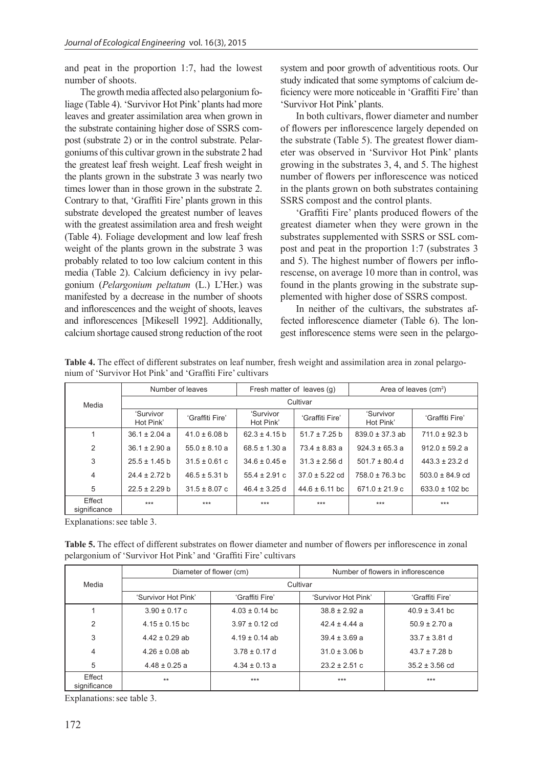and peat in the proportion 1:7, had the lowest number of shoots.

The growth media affected also pelargonium foliage (Table 4). 'Survivor Hot Pink' plants had more leaves and greater assimilation area when grown in the substrate containing higher dose of SSRS compost (substrate 2) or in the control substrate. Pelargoniums of this cultivar grown in the substrate 2 had the greatest leaf fresh weight. Leaf fresh weight in the plants grown in the substrate 3 was nearly two times lower than in those grown in the substrate 2. Contrary to that, 'Graffiti Fire' plants grown in this substrate developed the greatest number of leaves with the greatest assimilation area and fresh weight (Table 4). Foliage development and low leaf fresh weight of the plants grown in the substrate 3 was probably related to too low calcium content in this media (Table 2). Calcium deficiency in ivy pelargonium (*Pelargonium peltatum* (L.) L'Her.) was manifested by a decrease in the number of shoots and inflorescences and the weight of shoots, leaves and inflorescences [Mikesell 1992]. Additionally, calcium shortage caused strong reduction of the root system and poor growth of adventitious roots. Our study indicated that some symptoms of calcium deficiency were more noticeable in 'Graffiti Fire' than 'Survivor Hot Pink' plants.

In both cultivars, flower diameter and number of flowers per inflorescence largely depended on the substrate (Table 5). The greatest flower diameter was observed in 'Survivor Hot Pink' plants growing in the substrates 3, 4, and 5. The highest number of flowers per inflorescence was noticed in the plants grown on both substrates containing SSRS compost and the control plants.

'Graffiti Fire' plants produced flowers of the greatest diameter when they were grown in the substrates supplemented with SSRS or SSL compost and peat in the proportion 1:7 (substrates 3 and 5). The highest number of flowers per inflorescense, on average 10 more than in control, was found in the plants growing in the substrate supplemented with higher dose of SSRS compost.

In neither of the cultivars, the substrates affected inflorescence diameter (Table 6). The longest inflorescence stems were seen in the pelargo-

| nium of 'Survivor Hot Pink' and 'Graffiti Fire' cultivars |                        |                   |                            |                    |                        |                     |  |
|-----------------------------------------------------------|------------------------|-------------------|----------------------------|--------------------|------------------------|---------------------|--|
|                                                           | Number of leaves       |                   | Fresh matter of leaves (q) |                    | Area of leaves $(cm2)$ |                     |  |
| Media                                                     | Cultivar               |                   |                            |                    |                        |                     |  |
|                                                           | 'Survivor<br>Hot Pink' | 'Graffiti Fire'   | 'Survivor<br>Hot Pink'     | 'Graffiti Fire'    | 'Survivor<br>Hot Pink' | 'Graffiti Fire'     |  |
|                                                           | $36.1 \pm 2.04$ a      | $41.0 \pm 6.08$ b | $62.3 \pm 4.15$ b          | $51.7 \pm 7.25$ b  | $839.0 \pm 37.3$ ab    | $711.0 \pm 92.3 b$  |  |
| $\overline{2}$                                            | $36.1 \pm 2.90$ a      | $55.0 \pm 8.10$ a | $68.5 \pm 1.30$ a          | $73.4 \pm 8.83 a$  | $924.3 \pm 65.3 a$     | $912.0 \pm 59.2 a$  |  |
| 3                                                         | $25.5 \pm 1.45$ b      | $31.5 \pm 0.61$ c | $34.6 \pm 0.45$ e          | $31.3 \pm 2.56$ d  | $501.7 \pm 80.4$ d     | $443.3 \pm 23.2$ d  |  |
| 4                                                         | $24.4 \pm 2.72 b$      | $46.5 \pm 5.31$ b | $55.4 \pm 2.91$ c          | $37.0 \pm 5.22$ cd | $758.0 \pm 76.3$ bc    | $503.0 \pm 84.9$ cd |  |
| 5                                                         | $22.5 \pm 2.29$ b      | $31.5 \pm 8.07$ c | $46.4 \pm 3.25$ d          | $44.6 \pm 6.11$ bc | $671.0 \pm 21.9$ c     | $633.0 \pm 102$ bc  |  |
| Effect<br>significance                                    | $***$                  | $***$             | $***$                      | $***$              | $***$                  | $***$               |  |

**Table 4.** The effect of different substrates on leaf number, fresh weight and assimilation area in zonal pelargo-

Explanations: see table 3.

**Table 5.** The effect of different substrates on flower diameter and number of flowers per inflorescence in zonal pelargonium of 'Survivor Hot Pink' and 'Graffiti Fire' cultivars

|                        |                     | Diameter of flower (cm) | Number of flowers in inflorescence |                    |  |  |
|------------------------|---------------------|-------------------------|------------------------------------|--------------------|--|--|
| Media                  | Cultivar            |                         |                                    |                    |  |  |
|                        | 'Survivor Hot Pink' | 'Graffiti Fire'         | 'Survivor Hot Pink'                | 'Graffiti Fire'    |  |  |
|                        | $3.90 \pm 0.17$ c   | $4.03 \pm 0.14$ bc      | $38.8 \pm 2.92 a$                  | $40.9 \pm 3.41$ bc |  |  |
| 2                      | $4.15 \pm 0.15$ bc  | $3.97 \pm 0.12$ cd      | $424 + 444$ a                      | $50.9 \pm 2.70 a$  |  |  |
| 3                      | $4.42 \pm 0.29$ ab  | $4.19 \pm 0.14$ ab      | $39.4 \pm 3.69$ a                  | $33.7 \pm 3.81$ d  |  |  |
| 4                      | $4.26 \pm 0.08$ ab  | $3.78 \pm 0.17$ d       | $31.0 \pm 3.06$ b                  | $43.7 \pm 7.28$ b  |  |  |
| 5                      | $4.48 \pm 0.25$ a   | $4.34 \pm 0.13$ a       | $23.2 \pm 2.51$ c                  | $35.2 \pm 3.56$ cd |  |  |
| Effect<br>significance | $**$                | $***$                   | $***$                              | $***$              |  |  |

Explanations: see table 3.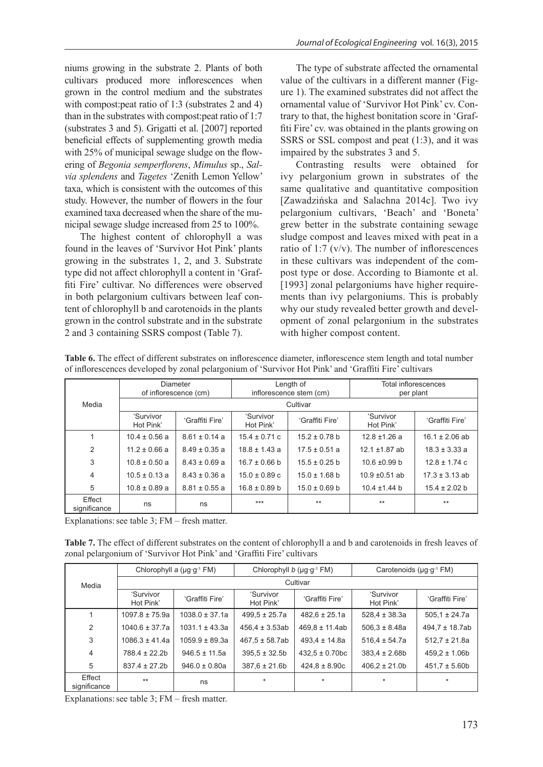niums growing in the substrate 2. Plants of both cultivars produced more inflorescences when grown in the control medium and the substrates with compost: peat ratio of 1:3 (substrates 2 and 4) than in the substrates with compost:peat ratio of 1:7 (substrates 3 and 5). Grigatti et al. [2007] reported beneficial effects of supplementing growth media with 25% of municipal sewage sludge on the flowering of *Begonia semperflorens*, *Mimulus* sp., *Salvia splendens* and *Tagetes* 'Zenith Lemon Yellow' taxa, which is consistent with the outcomes of this study. However, the number of flowers in the four examined taxa decreased when the share of the municipal sewage sludge increased from 25 to 100%.

The highest content of chlorophyll a was found in the leaves of 'Survivor Hot Pink' plants growing in the substrates 1, 2, and 3. Substrate type did not affect chlorophyll a content in 'Graffiti Fire' cultivar. No differences were observed in both pelargonium cultivars between leaf content of chlorophyll b and carotenoids in the plants grown in the control substrate and in the substrate 2 and 3 containing SSRS compost (Table 7).

The type of substrate affected the ornamental value of the cultivars in a different manner (Figure 1). The examined substrates did not affect the ornamental value of 'Survivor Hot Pink' cv. Contrary to that, the highest bonitation score in 'Graffiti Fire' cv. was obtained in the plants growing on SSRS or SSL compost and peat (1:3), and it was impaired by the substrates 3 and 5.

Contrasting results were obtained for ivy pelargonium grown in substrates of the same qualitative and quantitative composition [Zawadzińska and Salachna 2014c]. Two ivy pelargonium cultivars, 'Beach' and 'Boneta' grew better in the substrate containing sewage sludge compost and leaves mixed with peat in a ratio of 1:7  $(v/v)$ . The number of inflorescences in these cultivars was independent of the compost type or dose. According to Biamonte et al. [1993] zonal pelargoniums have higher requirements than ivy pelargoniums. This is probably why our study revealed better growth and development of zonal pelargonium in the substrates with higher compost content.

|                        | <b>Diameter</b>        |                       | Length of              |                         | <b>Total inflorescences</b> |                    |  |
|------------------------|------------------------|-----------------------|------------------------|-------------------------|-----------------------------|--------------------|--|
|                        |                        | of inflorescence (cm) |                        | inflorescence stem (cm) |                             | per plant          |  |
| Media                  | Cultivar               |                       |                        |                         |                             |                    |  |
|                        | 'Survivor<br>Hot Pink' | 'Graffiti Fire'       | 'Survivor<br>Hot Pink' | 'Graffiti Fire'         | 'Survivor<br>Hot Pink'      | 'Graffiti Fire'    |  |
|                        | $10.4 \pm 0.56$ a      | $8.61 \pm 0.14$ a     | $15.4 \pm 0.71$ c      | $15.2 \pm 0.78$ b       | $12.8 \pm 1.26$ a           | $16.1 \pm 2.06$ ab |  |
| 2                      | $11.2 \pm 0.66$ a      | $8.49 \pm 0.35$ a     | $18.8 \pm 1.43$ a      | $17.5 \pm 0.51$ a       | $12.1 \pm 1.87$ ab          | $18.3 \pm 3.33$ a  |  |
| 3                      | $10.8 \pm 0.50$ a      | $8.43 \pm 0.69$ a     | $16.7 \pm 0.66$ b      | $15.5 \pm 0.25$ b       | $10.6 \pm 0.99$ b           | $12.8 \pm 1.74$ c  |  |
| 4                      | $10.5 \pm 0.13$ a      | $8.43 \pm 0.36$ a     | $15.0 \pm 0.89$ c      | $15.0 \pm 1.68$ b       | $10.9 \pm 0.51$ ab          | $17.3 \pm 3.13$ ab |  |
| 5                      | $10.8 \pm 0.89$ a      | $8.81 \pm 0.55$ a     | $16.8 \pm 0.89$ b      | $15.0 \pm 0.69$ b       | $10.4 \pm 1.44$ b           | $15.4 \pm 2.02$ b  |  |
| Effect<br>significance | ns                     | ns                    | $***$                  | $***$                   | $**$                        | $***$              |  |

**Table 6.** The effect of different substrates on inflorescence diameter, inflorescence stem length and total number of inflorescences developed by zonal pelargonium of 'Survivor Hot Pink' and 'Graffiti Fire' cultivars

Explanations: see table  $3$ ; FM – fresh matter.

**Table 7.** The effect of different substrates on the content of chlorophyll a and b and carotenoids in fresh leaves of zonal pelargonium of 'Survivor Hot Pink' and 'Graffiti Fire' cultivars

|                        | Chlorophyll a (µg·g-1 FM) |                    | Chlorophyll b ( $\mu$ g·g <sup>-1</sup> FM) |                     | Carotenoids (µg·g-1 FM) |                    |
|------------------------|---------------------------|--------------------|---------------------------------------------|---------------------|-------------------------|--------------------|
| Media                  | Cultivar                  |                    |                                             |                     |                         |                    |
|                        | 'Survivor<br>Hot Pink'    | 'Graffiti Fire'    | 'Survivor<br>Hot Pink'                      | 'Graffiti Fire'     | 'Survivor<br>Hot Pink'  | 'Graffiti Fire'    |
| 1                      | $1097.8 \pm 75.9a$        | $1038.0 \pm 37.1a$ | $499.5 \pm 25.7a$                           | $482.6 \pm 25.1a$   | $528.4 \pm 38.3a$       | $505.1 \pm 24.7a$  |
| 2                      | $1040.6 \pm 37.7a$        | $1031.1 \pm 43.3a$ | $456.4 \pm 3.53ab$                          | $469.8 \pm 11.4ab$  | $506.3 \pm 8.48a$       | $494.7 \pm 18.7ab$ |
| 3                      | $1086.3 \pm 41.4a$        | $1059.9 \pm 89.3a$ | $467.5 \pm 58.7ab$                          | $493.4 \pm 14.8a$   | $516.4 \pm 54.7a$       | $512.7 \pm 21.8a$  |
| $\overline{4}$         | $788.4 \pm 22.2b$         | $946.5 \pm 11.5a$  | $395.5 \pm 32.5b$                           | $432.5 \pm 0.70$ bc | $383.4 \pm 2.68b$       | $459.2 \pm 1.06b$  |
| 5                      | $837.4 \pm 27.2b$         | $946.0 \pm 0.80a$  | $387.6 \pm 21.6$ b                          | $424.8 \pm 8.90c$   | $406.2 \pm 21.0$        | $451.7 \pm 5.60b$  |
| Effect<br>significance | $**$                      | ns                 | $\star$                                     | $\star$             | $\star$                 | $\star$            |

Explanations: see table  $3$ ;  $FM$  – fresh matter.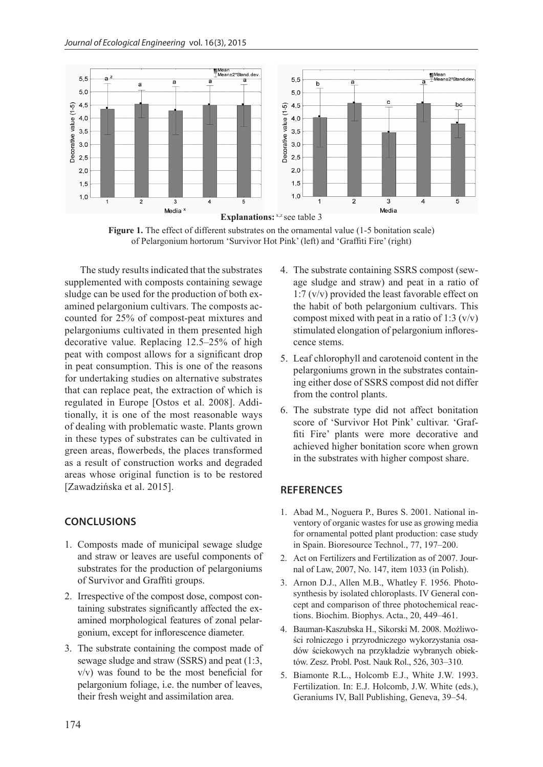

Figure 1. The effect of different substrates on the ornamental value (1-5 bonitation scale) of Pelargonium hortorum 'Survivor Hot Pink' (left) and 'Graffiti Fire' (right)

The study results indicated that the substrates supplemented with composts containing sewage sludge can be used for the production of both examined pelargonium cultivars. The composts accounted for 25% of compost-peat mixtures and pelargoniums cultivated in them presented high decorative value. Replacing 12.5–25% of high peat with compost allows for a significant drop in peat consumption. This is one of the reasons for undertaking studies on alternative substrates that can replace peat, the extraction of which is regulated in Europe [Ostos et al. 2008]. Additionally, it is one of the most reasonable ways of dealing with problematic waste. Plants grown in these types of substrates can be cultivated in green areas, flowerbeds, the places transformed as a result of construction works and degraded areas whose original function is to be restored [Zawadzińska et al. 2015].

## **CONCLUSIONS**

- 1. Composts made of municipal sewage sludge and straw or leaves are useful components of substrates for the production of pelargoniums of Survivor and Graffiti groups.
- 2. Irrespective of the compost dose, compost containing substrates significantly affected the examined morphological features of zonal pelargonium, except for inflorescence diameter.
- 3. The substrate containing the compost made of sewage sludge and straw (SSRS) and peat (1:3, v/v) was found to be the most beneficial for pelargonium foliage, i.e. the number of leaves, their fresh weight and assimilation area.
- 4. The substrate containing SSRS compost (sewage sludge and straw) and peat in a ratio of 1:7 (v/v) provided the least favorable effect on the habit of both pelargonium cultivars. This compost mixed with peat in a ratio of 1:3  $(v/v)$ stimulated elongation of pelargonium inflorescence stems.
- 5. Leaf chlorophyll and carotenoid content in the pelargoniums grown in the substrates containing either dose of SSRS compost did not differ from the control plants.
- 6. The substrate type did not affect bonitation score of 'Survivor Hot Pink' cultivar. 'Graffiti Fire' plants were more decorative and achieved higher bonitation score when grown in the substrates with higher compost share.

## **REFERENCES**

- 1. Abad M., Noguera P., Bures S. 2001. National inventory of organic wastes for use as growing media for ornamental potted plant production: case study in Spain. Bioresource Technol., 77, 197–200.
- 2. Act on Fertilizers and Fertilization as of 2007. Journal of Law, 2007, No. 147, item 1033 (in Polish).
- 3. Arnon D.J., Allen M.B., Whatley F. 1956. Photosynthesis by isolated chloroplasts. IV General concept and comparison of three photochemical reactions. Biochim. Biophys. Acta., 20, 449–461.
- 4. Bauman-Kaszubska H., Sikorski M. 2008. Możliwości rolniczego i przyrodniczego wykorzystania osadów ściekowych na przykładzie wybranych obiektów. Zesz. Probl. Post. Nauk Rol., 526, 303–310.
- 5. Biamonte R.L., Holcomb E.J., White J.W. 1993. Fertilization. In: E.J. Holcomb, J.W. White (eds.), Geraniums IV, Ball Publishing, Geneva, 39–54.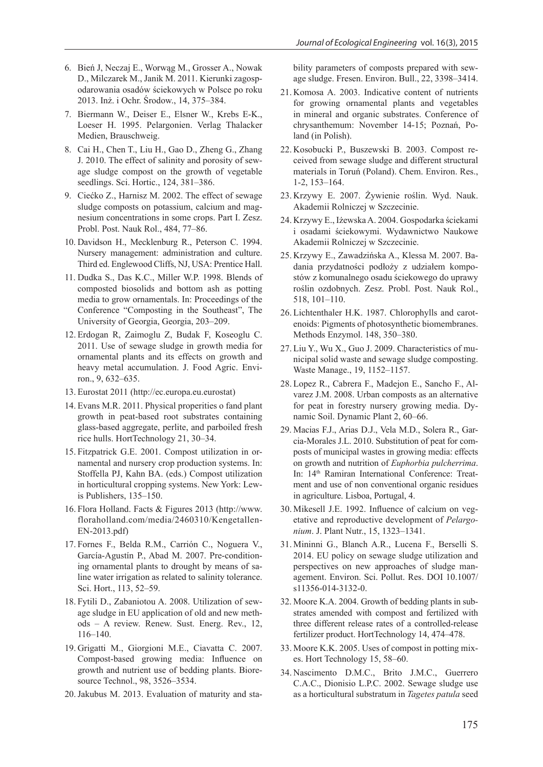- 6. Bień J, Neczaj E., Worwąg M., Grosser A., Nowak D., Milczarek M., Janik M. 2011. Kierunki zagospodarowania osadów ściekowych w Polsce po roku 2013. Inż. i Ochr. Środow., 14, 375–384.
- 7. Biermann W., Deiser E., Elsner W., Krebs E-K., Loeser H. 1995. Pelargonien. Verlag Thalacker Medien, Brauschweig.
- 8. Cai H., Chen T., Liu H., Gao D., Zheng G., Zhang J. 2010. The effect of salinity and porosity of sewage sludge compost on the growth of vegetable seedlings. Sci. Hortic., 124, 381–386.
- 9. Ciećko Z., Harnisz M. 2002. The effect of sewage sludge composts on potassium, calcium and magnesium concentrations in some crops. Part I. Zesz. Probl. Post. Nauk Rol., 484, 77–86.
- 10. Davidson H., Mecklenburg R., Peterson C. 1994. Nursery management: administration and culture. Third ed. Englewood Cliffs, NJ, USA: Prentice Hall.
- 11. Dudka S., Das K.C., Miller W.P. 1998. Blends of composted biosolids and bottom ash as potting media to grow ornamentals. In: Proceedings of the Conference "Composting in the Southeast", The University of Georgia, Georgia, 203–209.
- 12. Erdogan R, Zaimoglu Z, Budak F, Koseoglu C. 2011. Use of sewage sludge in growth media for ornamental plants and its effects on growth and heavy metal accumulation. J. Food Agric. Environ., 9, 632–635.
- 13. Eurostat 2011 (http://ec.europa.eu.eurostat)
- 14. Evans M.R. 2011. Physical properities o fand plant growth in peat-based root substrates containing glass-based aggregate, perlite, and parboiled fresh rice hulls. HortTechnology 21, 30–34.
- 15. Fitzpatrick G.E. 2001. Compost utilization in ornamental and nursery crop production systems. In: Stoffella PJ, Kahn BA. (eds.) Compost utilization in horticultural cropping systems. New York: Lewis Publishers, 135–150.
- 16. Flora Holland. Facts & Figures 2013 (http://www. floraholland.com/media/2460310/Kengetallen-EN-2013.pdf)
- 17. Fornes F., Belda R.M., Carrión C., Noguera V., García-Agustín P., Abad M. 2007. Pre-conditioning ornamental plants to drought by means of saline water irrigation as related to salinity tolerance. Sci. Hort., 113, 52–59.
- 18. Fytili D., Zabaniotou A. 2008. Utilization of sewage sludge in EU application of old and new methods – A review. Renew. Sust. Energ. Rev., 12, 116–140.
- 19. Grigatti M., Giorgioni M.E., Ciavatta C. 2007. Compost-based growing media: Influence on growth and nutrient use of bedding plants. Bioresource Technol., 98, 3526–3534.
- 20.Jakubus M. 2013. Evaluation of maturity and sta-

bility parameters of composts prepared with sewage sludge. Fresen. Environ. Bull., 22, 3398–3414.

- 21. Komosa A. 2003. Indicative content of nutrients for growing ornamental plants and vegetables in mineral and organic substrates. Conference of chrysanthemum: November 14-15; Poznań, Poland (in Polish).
- 22. Kosobucki P., Buszewski B. 2003. Compost received from sewage sludge and different structural materials in Toruń (Poland). Chem. Environ. Res., 1-2, 153–164.
- 23. Krzywy E. 2007. Żywienie roślin. Wyd. Nauk. Akademii Rolniczej w Szczecinie.
- 24. Krzywy E., Iżewska A. 2004. Gospodarka ściekami i osadami ściekowymi. Wydawnictwo Naukowe Akademii Rolniczej w Szczecinie.
- 25. Krzywy E., Zawadzińska A., Klessa M. 2007. Badania przydatności podłoży z udziałem kompostów z komunalnego osadu ściekowego do uprawy roślin ozdobnych. Zesz. Probl. Post. Nauk Rol., 518, 101–110.
- 26. Lichtenthaler H.K. 1987. Chlorophylls and carotenoids: Pigments of photosynthetic biomembranes. Methods Enzymol. 148, 350–380.
- 27. Liu Y., Wu X., Guo J. 2009. Characteristics of municipal solid waste and sewage sludge composting. Waste Manage., 19, 1152–1157.
- 28. Lopez R., Cabrera F., Madejon E., Sancho F., Alvarez J.M. 2008. Urban composts as an alternative for peat in forestry nursery growing media. Dynamic Soil. Dynamic Plant 2, 60–66.
- 29. Macias F.J., Arias D.J., Vela M.D., Solera R., Garcia-Morales J.L. 2010. Substitution of peat for composts of municipal wastes in growing media: effects on growth and nutrition of *Euphorbia pulcherrima*. In: 14th Ramiran International Conference: Treatment and use of non conventional organic residues in agriculture. Lisboa, Portugal, 4.
- 30. Mikesell J.E. 1992. Influence of calcium on vegetative and reproductive development of *Pelargonium*. J. Plant Nutr., 15, 1323–1341.
- 31. Mininni G., Blanch A.R., Lucena F., Berselli S. 2014. EU policy on sewage sludge utilization and perspectives on new approaches of sludge management. Environ. Sci. Pollut. Res. DOI 10.1007/ s11356-014-3132-0.
- 32. Moore K.A. 2004. Growth of bedding plants in substrates amended with compost and fertilized with three different release rates of a controlled-release fertilizer product. HortTechnology 14, 474–478.
- 33. Moore K.K. 2005. Uses of compost in potting mixes. Hort Technology 15, 58–60.
- 34. Nascimento D.M.C., Brito J.M.C., Guerrero C.A.C., Dionisio L.P.C. 2002. Sewage sludge use as a horticultural substratum in *Tagetes patula* seed